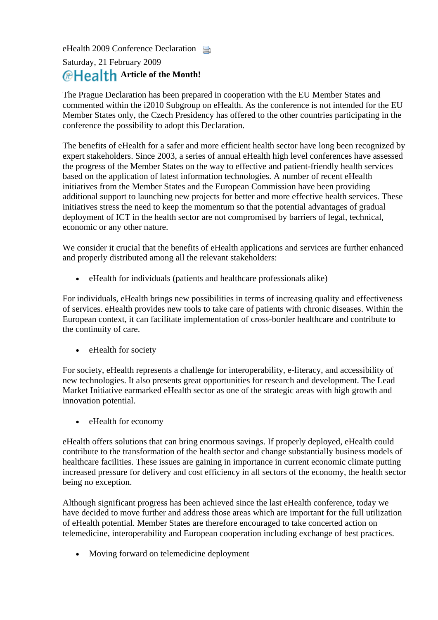eHealth 2009 Conference Declaration

## Saturday, 21 February 2009 Article of the Month!

The Prague Declaration has been prepared in cooperation with the EU Member States and commented within the i2010 Subgroup on eHealth. As the conference is not intended for the EU Member States only, the Czech Presidency has offered to the other countries participating in the conference the possibility to adopt this Declaration.

The benefits of eHealth for a safer and more efficient health sector have long been recognized by additional support to launching new projects for better and more effective health services. These expert stakeholders. Since 2003, a series of annual eHealth high level conferences have assessed the progress of the Member States on the way to effective and patient-friendly health services based on the application of latest information technologies. A number of recent eHealth initiatives from the Member States and the European Commission have been providing initiatives stress the need to keep the momentum so that the potential advantages of gradual deployment of ICT in the health sector are not compromised by barriers of legal, technical, economic or any other nature.

We consider it crucial that the benefits of eHealth applications and services are further enhanced and properly distributed among all the relevant stakeholders:

• eHealth for individuals (patients and healthcare professionals alike)

For individuals, eHealth brings new possibilities in terms of increasing quality and effectiveness of services. eHealth provides new tools to take care of patients with chronic diseases. Within the European context, it can facilitate implementation of cross-border healthcare and contribute to the continuity of care.

• eHealth for society

For society, eHealth represents a challenge for interoperability, e-literacy, and accessibility of new technologies. It also presents great opportunities for research and development. The Lead Market Initiative earmarked eHealth sector as one of the strategic areas with high growth and innovation potential.

• eHealth for economy

eHealth offers solutions that can bring enormous savings. If properly deployed, eHealth could contribute to the transformation of the health sector and change substantially business models of healthcare facilities. These issues are gaining in importance in current economic climate putting increased pressure for delivery and cost efficiency in all sectors of the economy, the health sector being no exception.

Although significant progress has been achieved since the last eHealth conference, today we have decided to move further and address those areas which are important for the full utilization telemedicine, interoperability and European cooperation including exchange of best practices. of eHealth potential. Member States are therefore encouraged to take concerted action on

• Moving forward on telemedicine deployment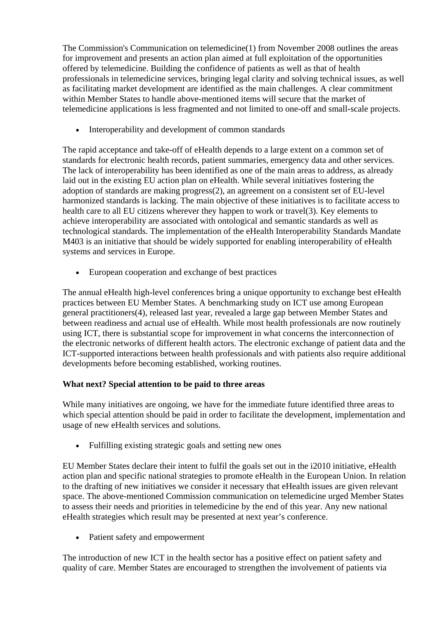The Commission's Communication on telemedicine(1) from November 2008 outlines the areas for improvement and presents an action plan aimed at full exploitation of the opportunities offered by telemedicine. Building the confidence of patients as well as that of health professionals in telemedicine services, bringing legal clarity and solving technical issues, as well as facilitating market development are identified as the main challenges. A clear commitment within Member States to handle above-mentioned items will secure that the market of telemedicine applications is less fragmented and not limited to one-off and small-scale projects.

• Interoperability and development of common standards

The rapid acceptance and take-off of eHealth depends to a large extent on a common set of standards for electronic health records, patient summaries, emergency data and other services. The lack of interoperability has been identified as one of the main areas to address, as already laid out in the existing EU action plan on eHealth. While several initiatives fostering the adoption of standards are making progress(2), an agreement on a consistent set of EU-level harmonized standards is lacking. The main objective of these initiatives is to facilitate access to health care to all EU citizens wherever they happen to work or travel(3). Key elements to achieve interoperability are associated with ontological and semantic standards as well as technological standards. The implementation of the eHealth Interoperability Standards Mandate M403 is an initiative that should be widely supported for enabling interoperability of eHealth systems and services in Europe.

• European cooperation and exchange of best practices

The annual eHealth high-level conferences bring a unique opportunity to exchange best eHealth practices between EU Member States. A benchmarking study on ICT use among European general practitioners(4), released last year, revealed a large gap between Member States and between readiness and actual use of eHealth. While most health professionals are now routinely using ICT, there is substantial scope for improvement in what concerns the interconnection of the electronic networks of different health actors. The electronic exchange of patient data and the ICT-supported interactions between health professionals and with patients also require additional developments before becoming established, working routines.

## **What next? Special attention to be paid to three areas**

While many initiatives are ongoing, we have for the immediate future identified three areas to which special attention should be paid in order to facilitate the development, implementation and usage of new eHealth services and solutions.

• Fulfilling existing strategic goals and setting new ones

EU Member States declare their intent to fulfil the goals set out in the i2010 initiative, eHealth action plan and specific national strategies to promote eHealth in the European Union. In relation to the drafting of new initiatives we consider it necessary that eHealth issues are given relevant space. The above-mentioned Commission communication on telemedicine urged Member States to assess their needs and priorities in telemedicine by the end of this year. Any new national eHealth strategies which result may be presented at next year's conference.

• Patient safety and empowerment

The introduction of new ICT in the health sector has a positive effect on patient safety and quality of care. Member States are encouraged to strengthen the involvement of patients via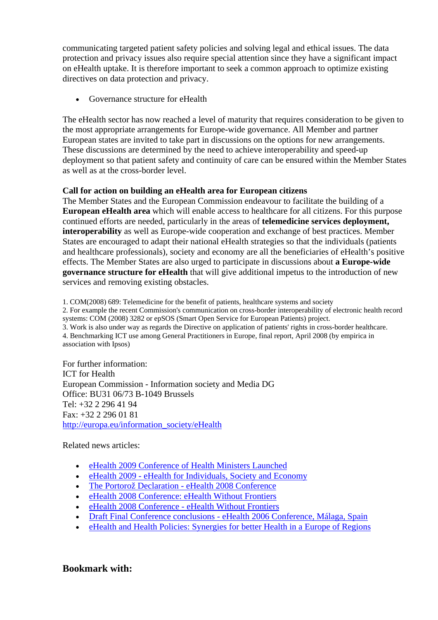communicating targeted patient safety policies and solving legal and ethical issues. The data protection and privacy issues also require special attention since they have a significant impact on eHealth uptake. It is therefore important to seek a common approach to optimize existing directives on data protection and privacy.

• Governance structure for eHealth

The eHealth sector has now reached a level of maturity that requires consideration to be given to the most appropriate arrangements for Europe-wide governance. All Member and partner European states are invited to take part in discussions on the options for new arrangements. These discussions are determined by the need to achieve interoperability and speed-up deployment so that patient safety and continuity of care can be ensured within the Member States as well as at the cross-border level.

## **Call for action on building an eHealth area for European citizens**

The Member States and the European Commission endeavour to facilitate the building of a **European eHealth area** which will enable access to healthcare for all citizens. For this purpose continued efforts are needed, particularly in the areas of **telemedicine services deployment, interoperability** as well as Europe-wide cooperation and exchange of best practices. Member States are encouraged to adapt their national eHealth strategies so that the individuals (patients and healthcare professionals), society and economy are all the beneficiaries of eHealth's positive effects. The Member States are also urged to participate in discussions about **a Europe-wide governance structure for eHealth** that will give additional impetus to the introduction of new services and removing existing obstacles.

1. COM(2008) 689: Telemedicine for the benefit of patients, healthcare systems and society

2. For example the recent Commission's communication on cross-border interoperability of electronic health record systems: COM (2008) 3282 or epSOS (Smart Open Service for European Patients) project.

3. Work is also under way as regards the Directive on application of patients' rights in cross-border healthcare.

4. Benchmarking ICT use among General Practitioners in Europe, final report, April 2008 (by empirica in association with Ipsos)

For further information: ICT for Health European Commission - Information society and Media DG Office: BU31 06/73 B-1049 Brussels Tel: +32 2 296 41 94 Fax: +32 2 296 01 81 [http://europa.eu/information\\_society/eHealth](http://europa.eu/information_society/ehealth) 

Related news articles:

- [eHealth 2009 Conference of Health Ministers Launched](http://www.ehealthnews.eu/content/view/1508/37/)
- eHealth 2009 eHealth for Individuals, Society and Economy
- [The Portorož Declaration eHealth 2008 Conference](http://www.ehealthnews.eu/content/view/1137/37/)
- [eHealth 2008 Conference: eHealth Without Frontiers](http://www.ehealthnews.eu/content/view/1044/37/)
- [eHealth 2008 Conference eHealth Without Frontiers](http://www.ehealthnews.eu/content/view/790/37/)
- Draft Final Conference conclusions eHealth 2006 Conference, Málaga, Spain
- [eHealth and Health Policies: Synergies for better Health in a Europe of Regions](http://www.ehealthnews.eu/content/view/39/37/)

**Bookmark with:**